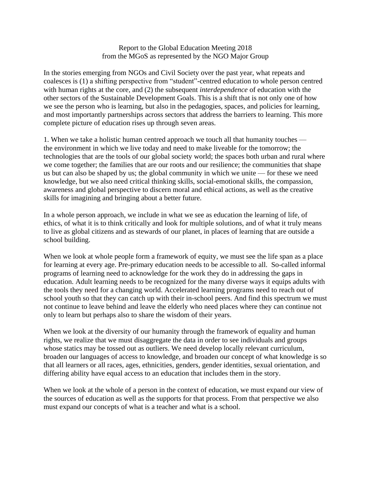## Report to the Global Education Meeting 2018 from the MGoS as represented by the NGO Major Group

In the stories emerging from NGOs and Civil Society over the past year, what repeats and coalesces is (1) a shifting perspective from "student"-centred education to whole person centred with human rights at the core, and (2) the subsequent *interdependence* of education with the other sectors of the Sustainable Development Goals. This is a shift that is not only one of how we see the person who is learning, but also in the pedagogies, spaces, and policies for learning, and most importantly partnerships across sectors that address the barriers to learning. This more complete picture of education rises up through seven areas.

1. When we take a holistic human centred approach we touch all that humanity touches the environment in which we live today and need to make liveable for the tomorrow; the technologies that are the tools of our global society world; the spaces both urban and rural where we come together; the families that are our roots and our resilience; the communities that shape us but can also be shaped by us; the global community in which we unite — for these we need knowledge, but we also need critical thinking skills, social-emotional skills, the compassion, awareness and global perspective to discern moral and ethical actions, as well as the creative skills for imagining and bringing about a better future.

In a whole person approach, we include in what we see as education the learning of life, of ethics, of what it is to think critically and look for multiple solutions, and of what it truly means to live as global citizens and as stewards of our planet, in places of learning that are outside a school building.

When we look at whole people form a framework of equity, we must see the life span as a place for learning at every age. Pre-primary education needs to be accessible to all. So-called informal programs of learning need to acknowledge for the work they do in addressing the gaps in education. Adult learning needs to be recognized for the many diverse ways it equips adults with the tools they need for a changing world. Accelerated learning programs need to reach out of school youth so that they can catch up with their in-school peers. And find this spectrum we must not continue to leave behind and leave the elderly who need places where they can continue not only to learn but perhaps also to share the wisdom of their years.

When we look at the diversity of our humanity through the framework of equality and human rights, we realize that we must disaggregate the data in order to see individuals and groups whose statics may be tossed out as outliers. We need develop locally relevant curriculum, broaden our languages of access to knowledge, and broaden our concept of what knowledge is so that all learners or all races, ages, ethnicities, genders, gender identities, sexual orientation, and differing ability have equal access to an education that includes them in the story.

When we look at the whole of a person in the context of education, we must expand our view of the sources of education as well as the supports for that process. From that perspective we also must expand our concepts of what is a teacher and what is a school.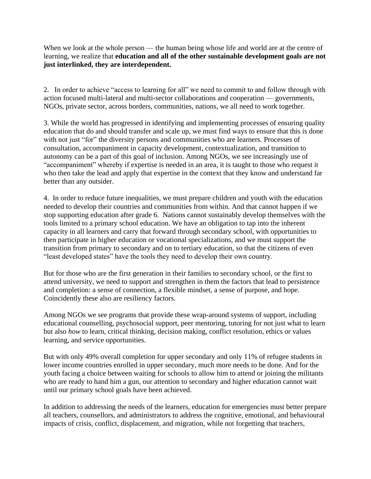When we look at the whole person — the human being whose life and world are at the centre of learning, we realize that **education and all of the other sustainable development goals are not just interlinked, they are interdependent.** 

2. In order to achieve "access to learning for all" we need to commit to and follow through with action focused multi-lateral and multi-sector collaborations and cooperation — governments, NGOs, private sector, across borders, communities, nations, we all need to work together.

3. While the world has progressed in identifying and implementing processes of ensuring quality education that do and should transfer and scale up, we must find ways to ensure that this is done with not just "for" the diversity persons and communities who are learners. Processes of consultation, accompaniment in capacity development, contextualization, and transition to autonomy can be a part of this goal of inclusion. Among NGOs, we see increasingly use of "accompaniment" whereby if expertise is needed in an area, it is taught to those who request it who then take the lead and apply that expertise in the context that they know and understand far better than any outsider.

4. In order to reduce future inequalities, we must prepare children and youth with the education needed to develop their countries and communities from within. And that cannot happen if we stop supporting education after grade 6. Nations cannot sustainably develop themselves with the tools limited to a primary school education. We have an obligation to tap into the inherent capacity in all learners and carry that forward through secondary school, with opportunities to then participate in higher education or vocational specializations, and we must support the transition from primary to secondary and on to tertiary education, so that the citizens of even "least developed states" have the tools they need to develop their own country.

But for those who are the first generation in their families to secondary school, or the first to attend university, we need to support and strengthen in them the factors that lead to persistence and completion: a sense of connection, a flexible mindset, a sense of purpose, and hope. Coincidently these also are resiliency factors.

Among NGOs we see programs that provide these wrap-around systems of support, including educational counselling, psychosocial support, peer mentoring, tutoring for not just what to learn but also *how* to learn, critical thinking, decision making, conflict resolution, ethics or values learning, and service opportunities.

But with only 49% overall completion for upper secondary and only 11% of refugee students in lower income countries enrolled in upper secondary, much more needs to be done. And for the youth facing a choice between waiting for schools to allow him to attend or joining the militants who are ready to hand him a gun, our attention to secondary and higher education cannot wait until our primary school goals have been achieved.

In addition to addressing the needs of the learners, education for emergencies must better prepare all teachers, counsellors, and administrators to address the cognitive, emotional, and behavioural impacts of crisis, conflict, displacement, and migration, while not forgetting that teachers,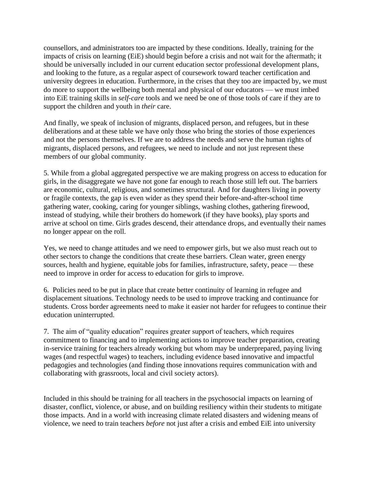counsellors, and administrators too are impacted by these conditions. Ideally, training for the impacts of crisis on learning (EiE) should begin before a crisis and not wait for the aftermath; it should be universally included in our current education sector professional development plans, and looking to the future, as a regular aspect of coursework toward teacher certification and university degrees in education. Furthermore, in the crises that they too are impacted by, we must do more to support the wellbeing both mental and physical of our educators — we must imbed into EiE training skills in *self-care* tools and we need be one of those tools of care if they are to support the children and youth in *their* care.

And finally, we speak of inclusion of migrants, displaced person, and refugees, but in these deliberations and at these table we have only those who bring the stories of those experiences and not the persons themselves. If we are to address the needs and serve the human rights of migrants, displaced persons, and refugees, we need to include and not just represent these members of our global community.

5. While from a global aggregated perspective we are making progress on access to education for girls, in the disaggregate we have not gone far enough to reach those still left out. The barriers are economic, cultural, religious, and sometimes structural. And for daughters living in poverty or fragile contexts, the gap is even wider as they spend their before-and-after-school time gathering water, cooking, caring for younger siblings, washing clothes, gathering firewood, instead of studying, while their brothers do homework (if they have books), play sports and arrive at school on time. Girls grades descend, their attendance drops, and eventually their names no longer appear on the roll.

Yes, we need to change attitudes and we need to empower girls, but we also must reach out to other sectors to change the conditions that create these barriers. Clean water, green energy sources, health and hygiene, equitable jobs for families, infrastructure, safety, peace — these need to improve in order for access to education for girls to improve.

6. Policies need to be put in place that create better continuity of learning in refugee and displacement situations. Technology needs to be used to improve tracking and continuance for students. Cross border agreements need to make it easier not harder for refugees to continue their education uninterrupted.

7. The aim of "quality education" requires greater support of teachers, which requires commitment to financing and to implementing actions to improve teacher preparation, creating in-service training for teachers already working but whom may be underprepared, paying living wages (and respectful wages) to teachers, including evidence based innovative and impactful pedagogies and technologies (and finding those innovations requires communication with and collaborating with grassroots, local and civil society actors).

Included in this should be training for all teachers in the psychosocial impacts on learning of disaster, conflict, violence, or abuse, and on building resiliency within their students to mitigate those impacts. And in a world with increasing climate related disasters and widening means of violence, we need to train teachers *before* not just after a crisis and embed EiE into university